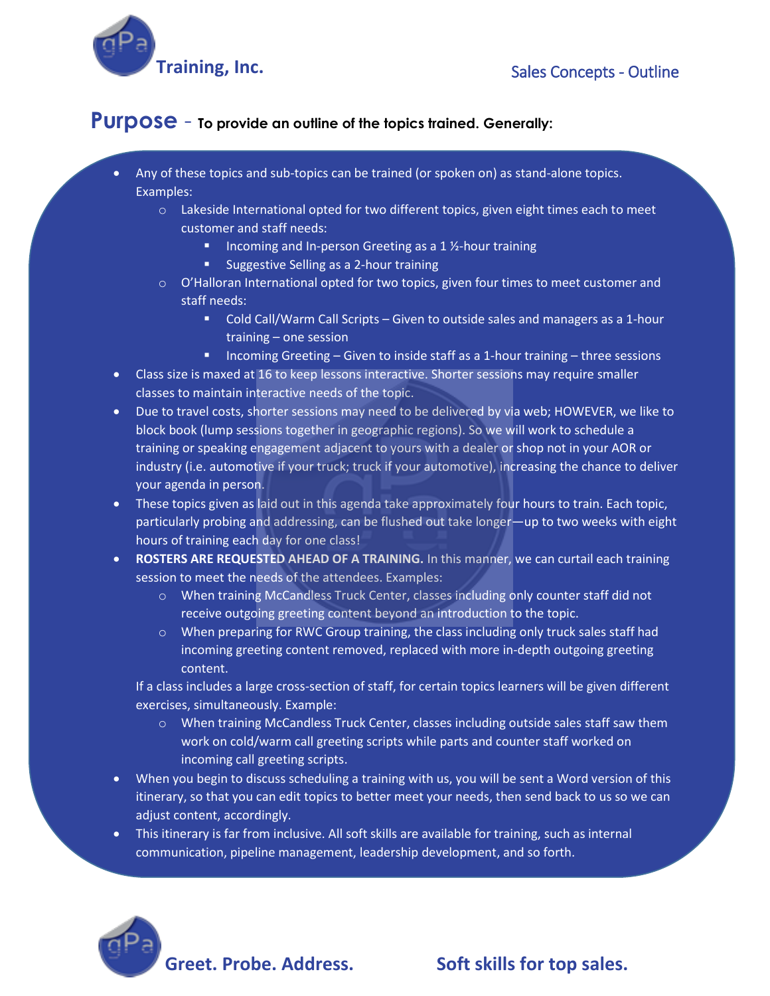

## **Purpose** - **To provide an outline of the topics trained. Generally:**

- Any of these topics and sub-topics can be trained (or spoken on) as stand-alone topics. Examples:
	- o Lakeside International opted for two different topics, given eight times each to meet customer and staff needs:
		- Incoming and In-person Greeting as a 1 ½-hour training
		- Suggestive Selling as a 2-hour training
	- $\circ$  O'Halloran International opted for two topics, given four times to meet customer and staff needs:
		- Cold Call/Warm Call Scripts Given to outside sales and managers as a 1-hour training – one session
		- Incoming Greeting Given to inside staff as a 1-hour training three sessions
- Class size is maxed at 16 to keep lessons interactive. Shorter sessions may require smaller classes to maintain interactive needs of the topic.
- Due to travel costs, shorter sessions may need to be delivered by via web; HOWEVER, we like to block book (lump sessions together in geographic regions). So we will work to schedule a training or speaking engagement adjacent to yours with a dealer or shop not in your AOR or industry (i.e. automotive if your truck; truck if your automotive), increasing the chance to deliver your agenda in person.
- These topics given as laid out in this agenda take approximately four hours to train. Each topic, particularly probing and addressing, can be flushed out take longer—up to two weeks with eight hours of training each day for one class!
- **ROSTERS ARE REQUESTED AHEAD OF A TRAINING.** In this manner, we can curtail each training session to meet the needs of the attendees. Examples:
	- o When training McCandless Truck Center, classes including only counter staff did not receive outgoing greeting content beyond an introduction to the topic.
	- o When preparing for RWC Group training, the class including only truck sales staff had incoming greeting content removed, replaced with more in-depth outgoing greeting content.

If a class includes a large cross-section of staff, for certain topics learners will be given different exercises, simultaneously. Example:

- o When training McCandless Truck Center, classes including outside sales staff saw them work on cold/warm call greeting scripts while parts and counter staff worked on incoming call greeting scripts.
- When you begin to discuss scheduling a training with us, you will be sent a Word version of this itinerary, so that you can edit topics to better meet your needs, then send back to us so we can adjust content, accordingly.
- This itinerary is far from inclusive. All soft skills are available for training, such as internal communication, pipeline management, leadership development, and so forth.



## Greet. Probe. Address. Soft skills for top sales.